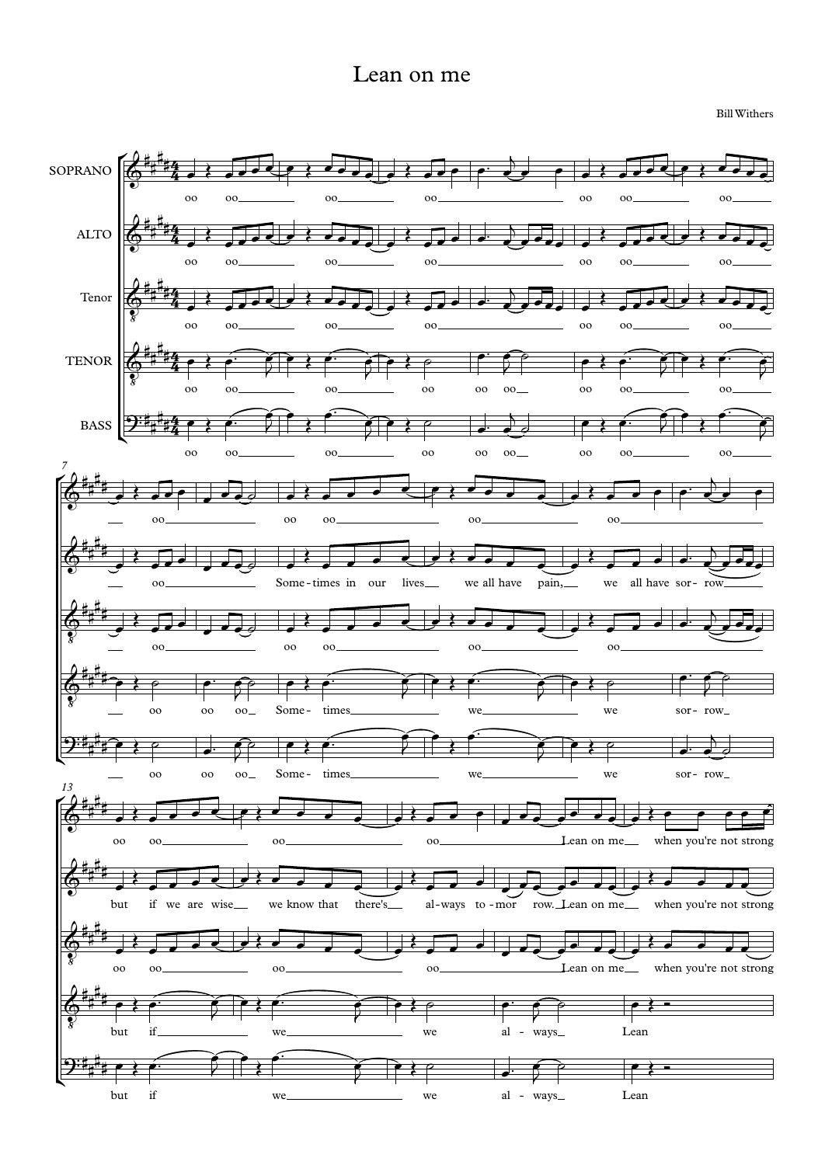## Lean on me

BillWithers

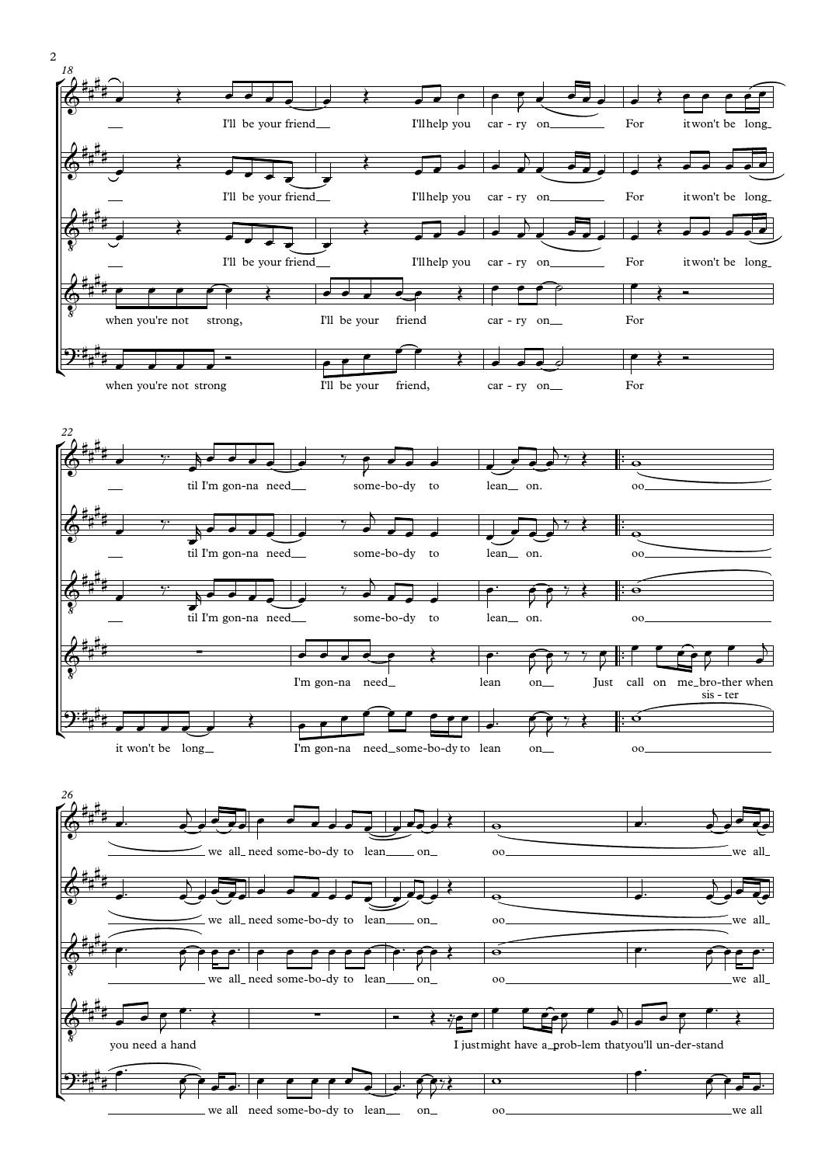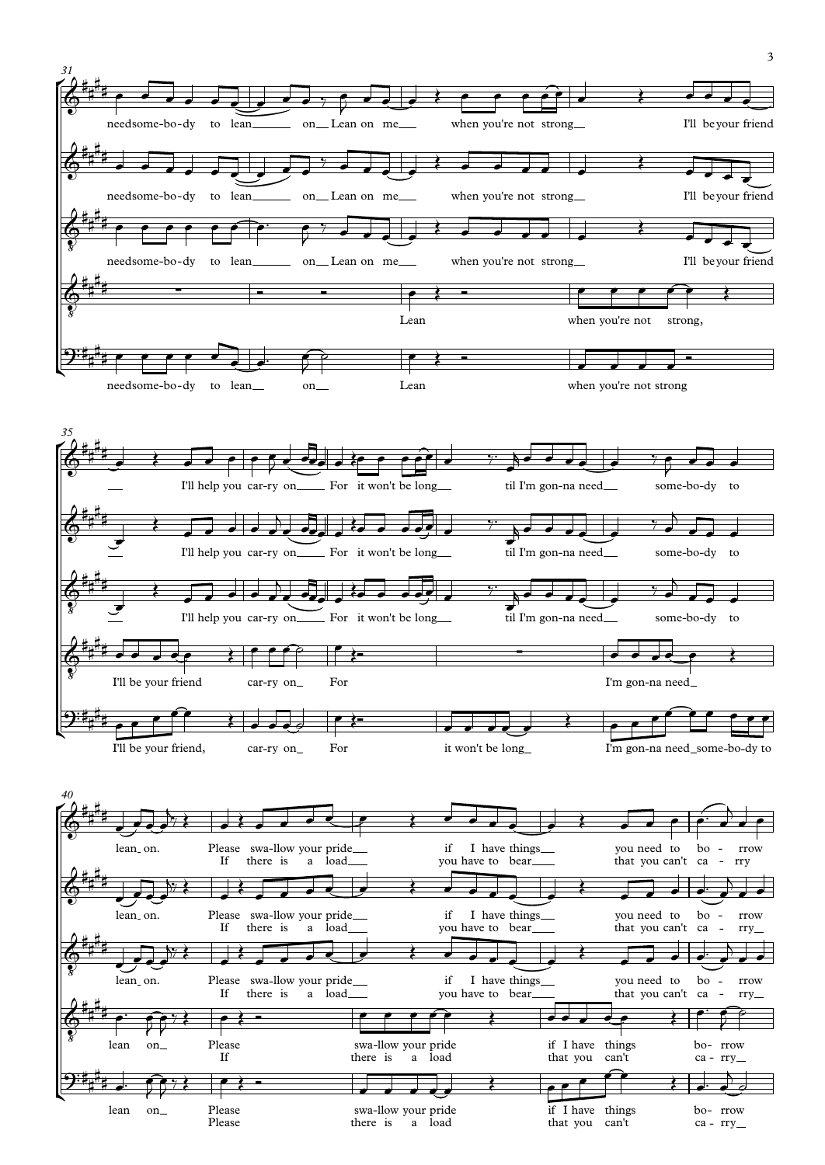